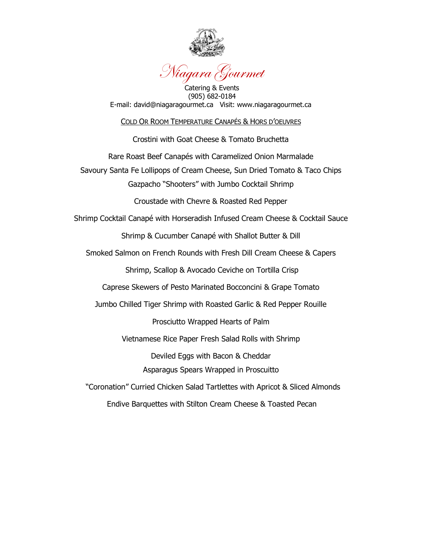

### Niagara Gourmet

Catering & Events (905) 682-0184 E-mail: david@niagaragourmet.ca Visit: www.niagaragourmet.ca

#### COLD OR ROOM TEMPERATURE CANAPÉS & HORS D"OEUVRES

Crostini with Goat Cheese & Tomato Bruchetta

Rare Roast Beef Canapés with Caramelized Onion Marmalade

Savoury Santa Fe Lollipops of Cream Cheese, Sun Dried Tomato & Taco Chips Gazpacho "Shooters" with Jumbo Cocktail Shrimp

Croustade with Chevre & Roasted Red Pepper

Shrimp Cocktail Canapé with Horseradish Infused Cream Cheese & Cocktail Sauce

Shrimp & Cucumber Canapé with Shallot Butter & Dill

Smoked Salmon on French Rounds with Fresh Dill Cream Cheese & Capers

Shrimp, Scallop & Avocado Ceviche on Tortilla Crisp

Caprese Skewers of Pesto Marinated Bocconcini & Grape Tomato

Jumbo Chilled Tiger Shrimp with Roasted Garlic & Red Pepper Rouille

Prosciutto Wrapped Hearts of Palm

Vietnamese Rice Paper Fresh Salad Rolls with Shrimp

Deviled Eggs with Bacon & Cheddar Asparagus Spears Wrapped in Proscuitto

 "Coronation" Curried Chicken Salad Tartlettes with Apricot & Sliced Almonds Endive Barquettes with Stilton Cream Cheese & Toasted Pecan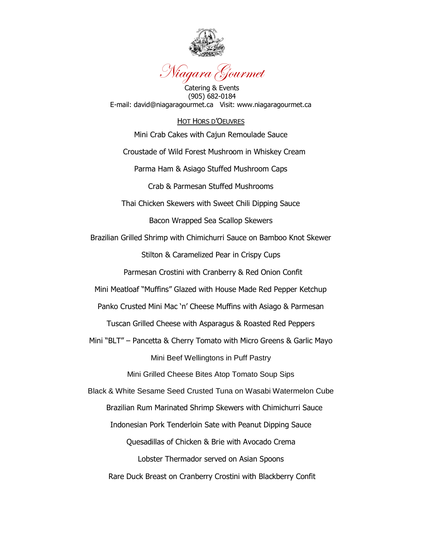

## Niagara Gourmet

Catering & Events (905) 682-0184 E-mail: david@niagaragourmet.ca Visit: www.niagaragourmet.ca

#### HOT HORS D"OEUVRES

Mini Crab Cakes with Cajun Remoulade Sauce

Croustade of Wild Forest Mushroom in Whiskey Cream

Parma Ham & Asiago Stuffed Mushroom Caps

Crab & Parmesan Stuffed Mushrooms

Thai Chicken Skewers with Sweet Chili Dipping Sauce

Bacon Wrapped Sea Scallop Skewers

Brazilian Grilled Shrimp with Chimichurri Sauce on Bamboo Knot Skewer

Stilton & Caramelized Pear in Crispy Cups

Parmesan Crostini with Cranberry & Red Onion Confit

Mini Meatloaf "Muffins" Glazed with House Made Red Pepper Ketchup

Panko Crusted Mini Mac 'n' Cheese Muffins with Asiago & Parmesan

Tuscan Grilled Cheese with Asparagus & Roasted Red Peppers

Mini "BLT" – Pancetta & Cherry Tomato with Micro Greens & Garlic Mayo Mini Beef Wellingtons in Puff Pastry

Mini Grilled Cheese Bites Atop Tomato Soup Sips

Black & White Sesame Seed Crusted Tuna on Wasabi Watermelon Cube

Brazilian Rum Marinated Shrimp Skewers with Chimichurri Sauce

Indonesian Pork Tenderloin Sate with Peanut Dipping Sauce

Quesadillas of Chicken & Brie with Avocado Crema

Lobster Thermador served on Asian Spoons

Rare Duck Breast on Cranberry Crostini with Blackberry Confit